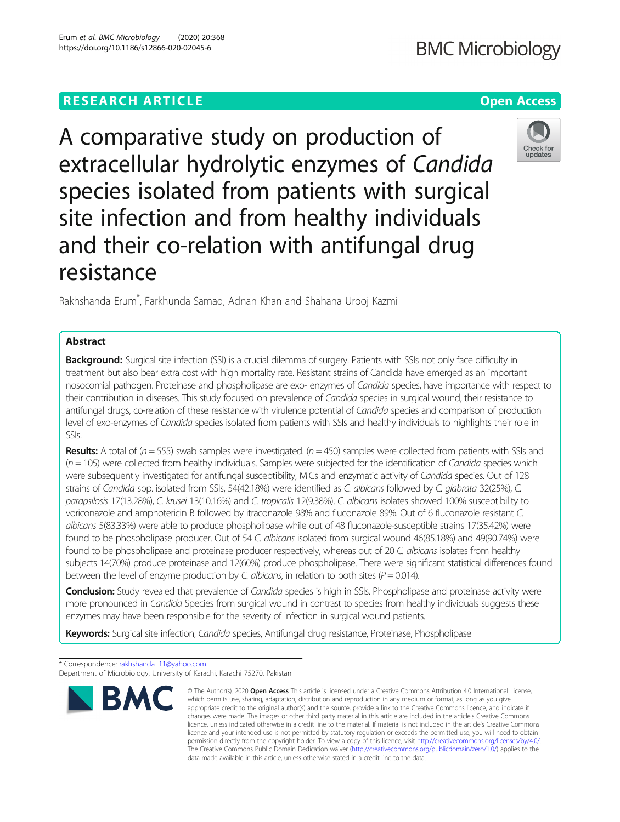## **RESEARCH ARTICLE Example 2014 12:30 The Contract of Contract ACCESS**

A comparative study on production of extracellular hydrolytic enzymes of Candida species isolated from patients with surgical site infection and from healthy individuals and their co-relation with antifungal drug resistance

Rakhshanda Erum\* , Farkhunda Samad, Adnan Khan and Shahana Urooj Kazmi

## Abstract

Background: Surgical site infection (SSI) is a crucial dilemma of surgery. Patients with SSIs not only face difficulty in treatment but also bear extra cost with high mortality rate. Resistant strains of Candida have emerged as an important nosocomial pathogen. Proteinase and phospholipase are exo- enzymes of Candida species, have importance with respect to their contribution in diseases. This study focused on prevalence of Candida species in surgical wound, their resistance to antifungal drugs, co-relation of these resistance with virulence potential of Candida species and comparison of production level of exo-enzymes of Candida species isolated from patients with SSIs and healthy individuals to highlights their role in SSIs.

**Results:** A total of ( $n = 555$ ) swab samples were investigated. ( $n = 450$ ) samples were collected from patients with SSIs and  $(n = 105)$  were collected from healthy individuals. Samples were subjected for the identification of Candida species which were subsequently investigated for antifungal susceptibility, MICs and enzymatic activity of Candida species. Out of 128 strains of Candida spp. isolated from SSIs, 54(42.18%) were identified as C. albicans followed by C. glabrata 32(25%), C. parapsilosis 17(13.28%), C. krusei 13(10.16%) and C. tropicalis 12(9.38%). C. albicans isolates showed 100% susceptibility to voriconazole and amphotericin B followed by itraconazole 98% and fluconazole 89%. Out of 6 fluconazole resistant C. albicans 5(83.33%) were able to produce phospholipase while out of 48 fluconazole-susceptible strains 17(35.42%) were found to be phospholipase producer. Out of 54 C. albicans isolated from surgical wound 46(85.18%) and 49(90.74%) were found to be phospholipase and proteinase producer respectively, whereas out of 20 C. albicans isolates from healthy subjects 14(70%) produce proteinase and 12(60%) produce phospholipase. There were significant statistical differences found between the level of enzyme production by C. albicans, in relation to both sites ( $P = 0.014$ ).

Conclusion: Study revealed that prevalence of Candida species is high in SSIs. Phospholipase and proteinase activity were more pronounced in Candida Species from surgical wound in contrast to species from healthy individuals suggests these enzymes may have been responsible for the severity of infection in surgical wound patients.

data made available in this article, unless otherwise stated in a credit line to the data.

© The Author(s), 2020 **Open Access** This article is licensed under a Creative Commons Attribution 4.0 International License,

Keywords: Surgical site infection, Candida species, Antifungal drug resistance, Proteinase, Phospholipase

\* Correspondence: [rakhshanda\\_11@yahoo.com](mailto:rakhshanda_11@yahoo.com)

Department of Microbiology, University of Karachi, Karachi 75270, Pakistan

## Erum et al. BMC Microbiology (2020) 20:368 https://doi.org/10.1186/s12866-020-02045-6

which permits use, sharing, adaptation, distribution and reproduction in any medium or format, as long as you give appropriate credit to the original author(s) and the source, provide a link to the Creative Commons licence, and indicate if changes were made. The images or other third party material in this article are included in the article's Creative Commons licence, unless indicated otherwise in a credit line to the material. If material is not included in the article's Creative Commons licence and your intended use is not permitted by statutory regulation or exceeds the permitted use, you will need to obtain permission directly from the copyright holder. To view a copy of this licence, visit [http://creativecommons.org/licenses/by/4.0/.](http://creativecommons.org/licenses/by/4.0/) The Creative Commons Public Domain Dedication waiver [\(http://creativecommons.org/publicdomain/zero/1.0/](http://creativecommons.org/publicdomain/zero/1.0/)) applies to the





# **BMC Microbiology**

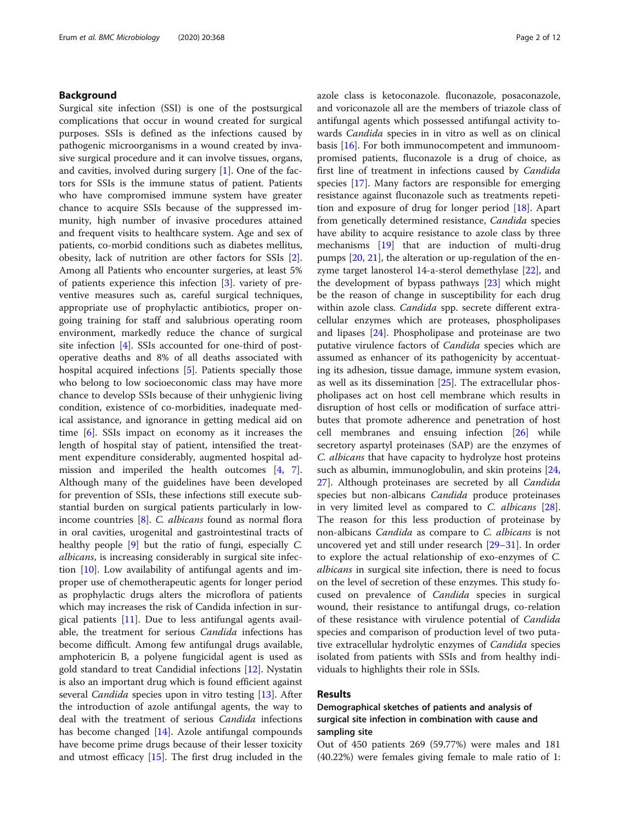## Background

Surgical site infection (SSI) is one of the postsurgical complications that occur in wound created for surgical purposes. SSIs is defined as the infections caused by pathogenic microorganisms in a wound created by invasive surgical procedure and it can involve tissues, organs, and cavities, involved during surgery [[1\]](#page-9-0). One of the factors for SSIs is the immune status of patient. Patients who have compromised immune system have greater chance to acquire SSIs because of the suppressed immunity, high number of invasive procedures attained and frequent visits to healthcare system. Age and sex of patients, co-morbid conditions such as diabetes mellitus, obesity, lack of nutrition are other factors for SSIs [\[2](#page-9-0)]. Among all Patients who encounter surgeries, at least 5% of patients experience this infection [[3\]](#page-9-0). variety of preventive measures such as, careful surgical techniques, appropriate use of prophylactic antibiotics, proper ongoing training for staff and salubrious operating room environment, markedly reduce the chance of surgical site infection [[4\]](#page-9-0). SSIs accounted for one-third of postoperative deaths and 8% of all deaths associated with hospital acquired infections [\[5](#page-9-0)]. Patients specially those who belong to low socioeconomic class may have more chance to develop SSIs because of their unhygienic living condition, existence of co-morbidities, inadequate medical assistance, and ignorance in getting medical aid on time [\[6](#page-9-0)]. SSIs impact on economy as it increases the length of hospital stay of patient, intensified the treatment expenditure considerably, augmented hospital admission and imperiled the health outcomes [[4,](#page-9-0) [7](#page-9-0)]. Although many of the guidelines have been developed for prevention of SSIs, these infections still execute substantial burden on surgical patients particularly in lowincome countries  $[8]$  $[8]$ . C. *albicans* found as normal flora in oral cavities, urogenital and gastrointestinal tracts of healthy people [[9\]](#page-9-0) but the ratio of fungi, especially C. albicans, is increasing considerably in surgical site infection [\[10](#page-9-0)]. Low availability of antifungal agents and improper use of chemotherapeutic agents for longer period as prophylactic drugs alters the microflora of patients which may increases the risk of Candida infection in surgical patients [[11\]](#page-9-0). Due to less antifungal agents available, the treatment for serious Candida infections has become difficult. Among few antifungal drugs available, amphotericin B, a polyene fungicidal agent is used as gold standard to treat Candidial infections [[12\]](#page-10-0). Nystatin is also an important drug which is found efficient against several *Candida* species upon in vitro testing [[13\]](#page-10-0). After the introduction of azole antifungal agents, the way to deal with the treatment of serious Candida infections has become changed [\[14](#page-10-0)]. Azole antifungal compounds have become prime drugs because of their lesser toxicity and utmost efficacy [\[15](#page-10-0)]. The first drug included in the

azole class is ketoconazole. fluconazole, posaconazole, and voriconazole all are the members of triazole class of antifungal agents which possessed antifungal activity towards Candida species in in vitro as well as on clinical basis [[16](#page-10-0)]. For both immunocompetent and immunoompromised patients, fluconazole is a drug of choice, as first line of treatment in infections caused by Candida species [\[17](#page-10-0)]. Many factors are responsible for emerging resistance against fluconazole such as treatments repetition and exposure of drug for longer period [\[18](#page-10-0)]. Apart from genetically determined resistance, Candida species have ability to acquire resistance to azole class by three mechanisms [\[19\]](#page-10-0) that are induction of multi-drug pumps [\[20](#page-10-0), [21](#page-10-0)], the alteration or up-regulation of the enzyme target lanosterol 14-a-sterol demethylase [[22\]](#page-10-0), and the development of bypass pathways [\[23\]](#page-10-0) which might be the reason of change in susceptibility for each drug within azole class. *Candida* spp. secrete different extracellular enzymes which are proteases, phospholipases and lipases [\[24](#page-10-0)]. Phospholipase and proteinase are two putative virulence factors of Candida species which are assumed as enhancer of its pathogenicity by accentuating its adhesion, tissue damage, immune system evasion, as well as its dissemination [[25](#page-10-0)]. The extracellular phospholipases act on host cell membrane which results in disruption of host cells or modification of surface attributes that promote adherence and penetration of host cell membranes and ensuing infection [\[26](#page-10-0)] while secretory aspartyl proteinases (SAP) are the enzymes of C. albicans that have capacity to hydrolyze host proteins such as albumin, immunoglobulin, and skin proteins [[24](#page-10-0), [27\]](#page-10-0). Although proteinases are secreted by all Candida species but non-albicans *Candida* produce proteinases in very limited level as compared to C. albicans [\[28](#page-10-0)]. The reason for this less production of proteinase by non-albicans Candida as compare to C. albicans is not uncovered yet and still under research [\[29](#page-10-0)–[31\]](#page-10-0). In order to explore the actual relationship of exo-enzymes of C. albicans in surgical site infection, there is need to focus on the level of secretion of these enzymes. This study focused on prevalence of Candida species in surgical wound, their resistance to antifungal drugs, co-relation of these resistance with virulence potential of Candida species and comparison of production level of two putative extracellular hydrolytic enzymes of Candida species isolated from patients with SSIs and from healthy individuals to highlights their role in SSIs.

#### Results

## Demographical sketches of patients and analysis of surgical site infection in combination with cause and sampling site

Out of 450 patients 269 (59.77%) were males and 181 (40.22%) were females giving female to male ratio of 1: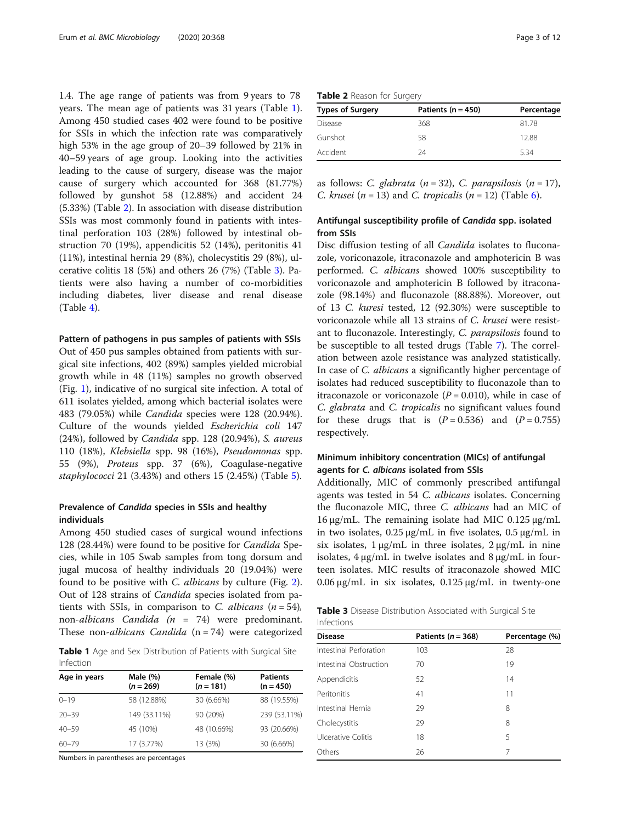1.4. The age range of patients was from 9 years to 78 years. The mean age of patients was 31 years (Table 1). Among 450 studied cases 402 were found to be positive for SSIs in which the infection rate was comparatively high 53% in the age group of 20–39 followed by 21% in 40–59 years of age group. Looking into the activities leading to the cause of surgery, disease was the major cause of surgery which accounted for 368 (81.77%) followed by gunshot 58 (12.88%) and accident 24 (5.33%) (Table 2). In association with disease distribution SSIs was most commonly found in patients with intestinal perforation 103 (28%) followed by intestinal obstruction 70 (19%), appendicitis 52 (14%), peritonitis 41 (11%), intestinal hernia 29 (8%), cholecystitis 29 (8%), ulcerative colitis 18 (5%) and others 26 (7%) (Table 3). Patients were also having a number of co-morbidities including diabetes, liver disease and renal disease (Table [4\)](#page-3-0).

Pattern of pathogens in pus samples of patients with SSIs

Out of 450 pus samples obtained from patients with surgical site infections, 402 (89%) samples yielded microbial growth while in 48 (11%) samples no growth observed (Fig. [1](#page-3-0)), indicative of no surgical site infection. A total of 611 isolates yielded, among which bacterial isolates were 483 (79.05%) while Candida species were 128 (20.94%). Culture of the wounds yielded Escherichia coli 147 (24%), followed by Candida spp. 128 (20.94%), S. aureus 110 (18%), Klebsiella spp. 98 (16%), Pseudomonas spp. 55 (9%), Proteus spp. 37 (6%), Coagulase-negative staphylococci 21 (3.43%) and others 15 (2.45%) (Table [5\)](#page-3-0).

### Prevalence of Candida species in SSIs and healthy individuals

Among 450 studied cases of surgical wound infections 128 (28.44%) were found to be positive for Candida Species, while in 105 Swab samples from tong dorsum and jugal mucosa of healthy individuals 20 (19.04%) were found to be positive with C. albicans by culture (Fig. [2](#page-3-0)). Out of 128 strains of Candida species isolated from patients with SSIs, in comparison to C. albicans ( $n = 54$ ), non-albicans Candida ( $n = 74$ ) were predominant. These non-*albicans Candida*  $(n = 74)$  were categorized

Table 1 Age and Sex Distribution of Patients with Surgical Site Infection

| Age in years | Male $(\%)$<br>$(n = 269)$ | Female (%)<br>$(n = 181)$ | <b>Patients</b><br>$(n = 450)$ |
|--------------|----------------------------|---------------------------|--------------------------------|
| $0 - 19$     | 58 (12.88%)                | 30 (6.66%)                | 88 (19.55%)                    |
| $20 - 39$    | 149 (33.11%)               | 90 (20%)                  | 239 (53.11%)                   |
| $40 - 59$    | 45 (10%)                   | 48 (10.66%)               | 93 (20.66%)                    |
| $60 - 79$    | 17 (3.77%)                 | 13 (3%)                   | 30 (6.66%)                     |

Numbers in parentheses are percentages

|  |  |  |  | Table 2 Reason for Surgery |
|--|--|--|--|----------------------------|
|--|--|--|--|----------------------------|

| <b>Types of Surgery</b> | Patients ( $n = 450$ ) | Percentage |
|-------------------------|------------------------|------------|
| Disease                 | 368                    | 81.78      |
| Gunshot                 | 58                     | 12.88      |
| Accident                | 24                     | 5.34       |

as follows: C. glabrata ( $n = 32$ ), C. parapsilosis ( $n = 17$ ), C. krusei ( $n = 13$ ) and C. tropicalis ( $n = 12$ ) (Table [6](#page-4-0)).

## Antifungal susceptibility profile of Candida spp. isolated from SSIs

Disc diffusion testing of all Candida isolates to fluconazole, voriconazole, itraconazole and amphotericin B was performed. C. albicans showed 100% susceptibility to voriconazole and amphotericin B followed by itraconazole (98.14%) and fluconazole (88.88%). Moreover, out of 13 C. kuresi tested, 12 (92.30%) were susceptible to voriconazole while all 13 strains of C. krusei were resistant to fluconazole. Interestingly, C. parapsilosis found to be susceptible to all tested drugs (Table [7\)](#page-4-0). The correlation between azole resistance was analyzed statistically. In case of C. albicans a significantly higher percentage of isolates had reduced susceptibility to fluconazole than to itraconazole or voriconazole ( $P = 0.010$ ), while in case of C. glabrata and C. tropicalis no significant values found for these drugs that is  $(P = 0.536)$  and  $(P = 0.755)$ respectively.

## Minimum inhibitory concentration (MICs) of antifungal agents for C. albicans isolated from SSIs

Additionally, MIC of commonly prescribed antifungal agents was tested in 54 C. albicans isolates. Concerning the fluconazole MIC, three C. albicans had an MIC of 16 μg/mL. The remaining isolate had MIC 0.125 μg/mL in two isolates, 0.25 μg/mL in five isolates, 0.5 μg/mL in six isolates,  $1 \mu$ g/mL in three isolates,  $2 \mu$ g/mL in nine isolates,  $4 \mu$ g/mL in twelve isolates and  $8 \mu$ g/mL in fourteen isolates. MIC results of itraconazole showed MIC 0.06 μg/mL in six isolates, 0.125 μg/mL in twenty-one

| Table 3 Disease Distribution Associated with Surgical Site |  |  |
|------------------------------------------------------------|--|--|
| <b>Infections</b>                                          |  |  |

| <b>Disease</b>         | Patients ( $n = 368$ ) | Percentage (%) |
|------------------------|------------------------|----------------|
| Intestinal Perforation | 103                    | 28             |
| Intestinal Obstruction | 70                     | 19             |
| Appendicitis           | 52                     | 14             |
| Peritonitis            | 41                     | 11             |
| Intestinal Hernia      | 29                     | 8              |
| Cholecystitis          | 29                     | 8              |
| Ulcerative Colitis     | 18                     | 5              |
| Others                 | 26                     | 7              |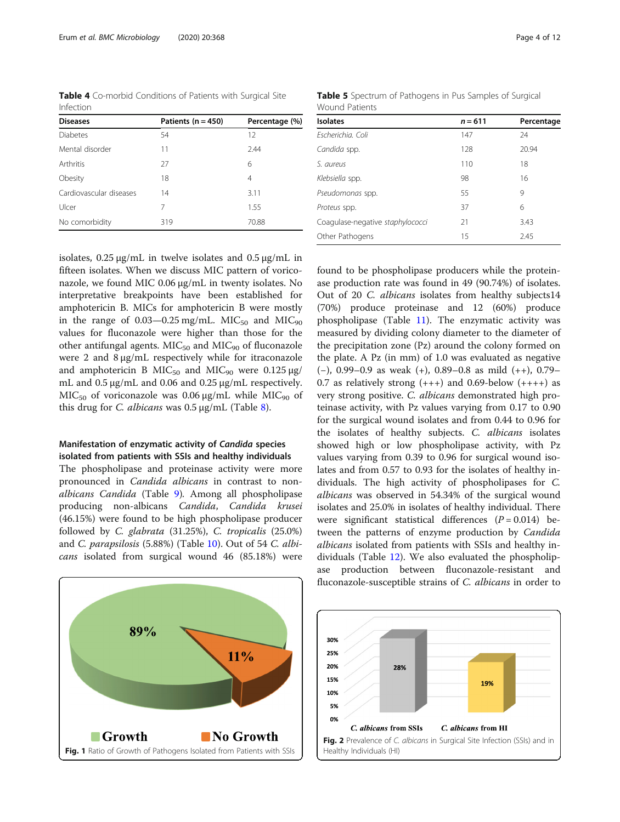<span id="page-3-0"></span>Table 4 Co-morbid Conditions of Patients with Surgical Site Infection

| <b>Diseases</b>         | Patients ( $n = 450$ ) | Percentage (%) |
|-------------------------|------------------------|----------------|
| <b>Diabetes</b>         | 54                     | 12             |
| Mental disorder         | 11                     | 2.44           |
| Arthritis               | 27                     | 6              |
| Obesity                 | 18                     | 4              |
| Cardiovascular diseases | 14                     | 3.11           |
| Ulcer                   |                        | 1.55           |
| No comorbidity          | 319                    | 70.88          |

Table 5 Spectrum of Pathogens in Pus Samples of Surgical Wound Patients

| <b>Isolates</b>                  | $n = 611$ | Percentage |
|----------------------------------|-----------|------------|
| Escherichia. Coli                | 147       | 24         |
| Candida spp.                     | 128       | 20.94      |
| S. aureus                        | 110       | 18         |
| Klebsiella spp.                  | 98        | 16         |
| Pseudomonas spp.                 | 55        | 9          |
| Proteus spp.                     | 37        | 6          |
| Coagulase-negative staphylococci | 21        | 3.43       |
| Other Pathogens                  | 15        | 2.45       |
|                                  |           |            |

isolates,  $0.25 \mu$ g/mL in twelve isolates and  $0.5 \mu$ g/mL in fifteen isolates. When we discuss MIC pattern of voriconazole, we found MIC 0.06 μg/mL in twenty isolates. No interpretative breakpoints have been established for amphotericin B. MICs for amphotericin B were mostly in the range of  $0.03-0.25$  mg/mL. MIC<sub>50</sub> and MIC<sub>90</sub> values for fluconazole were higher than those for the other antifungal agents.  $MIC<sub>50</sub>$  and  $MIC<sub>90</sub>$  of fluconazole were 2 and 8 μg/mL respectively while for itraconazole and amphotericin B MIC<sub>50</sub> and MIC<sub>90</sub> were 0.125  $\mu$ g/ mL and 0.5 μg/mL and 0.06 and 0.25 μg/mL respectively.  $MIC<sub>50</sub>$  of voriconazole was 0.06  $\mu$ g/mL while MIC<sub>90</sub> of this drug for *C. albicans* was  $0.5 \mu g/mL$  (Table [8](#page-4-0)).

## Manifestation of enzymatic activity of Candida species isolated from patients with SSIs and healthy individuals

The phospholipase and proteinase activity were more pronounced in Candida albicans in contrast to nonalbicans Candida (Table [9](#page-5-0)). Among all phospholipase producing non-albicans Candida, Candida krusei (46.15%) were found to be high phospholipase producer followed by C. glabrata (31.25%), C. tropicalis (25.0%) and C. parapsilosis (5.88%) (Table [10\)](#page-5-0). Out of 54 C. albicans isolated from surgical wound 46 (85.18%) were

found to be phospholipase producers while the proteinase production rate was found in 49 (90.74%) of isolates. Out of 20 C. albicans isolates from healthy subjects14 (70%) produce proteinase and 12 (60%) produce phospholipase (Table [11\)](#page-5-0). The enzymatic activity was measured by dividing colony diameter to the diameter of the precipitation zone (Pz) around the colony formed on the plate. A Pz (in mm) of 1.0 was evaluated as negative (−), 0.99–0.9 as weak (+), 0.89–0.8 as mild (++), 0.79– 0.7 as relatively strong  $(+++)$  and 0.69-below  $(+++)$  as very strong positive. C. albicans demonstrated high proteinase activity, with Pz values varying from 0.17 to 0.90 for the surgical wound isolates and from 0.44 to 0.96 for the isolates of healthy subjects. C. albicans isolates showed high or low phospholipase activity, with Pz values varying from 0.39 to 0.96 for surgical wound isolates and from 0.57 to 0.93 for the isolates of healthy individuals. The high activity of phospholipases for C. albicans was observed in 54.34% of the surgical wound isolates and 25.0% in isolates of healthy individual. There were significant statistical differences  $(P = 0.014)$  between the patterns of enzyme production by Candida albicans isolated from patients with SSIs and healthy individuals (Table [12](#page-6-0)). We also evaluated the phospholipase production between fluconazole-resistant and fluconazole-susceptible strains of C. albicans in order to



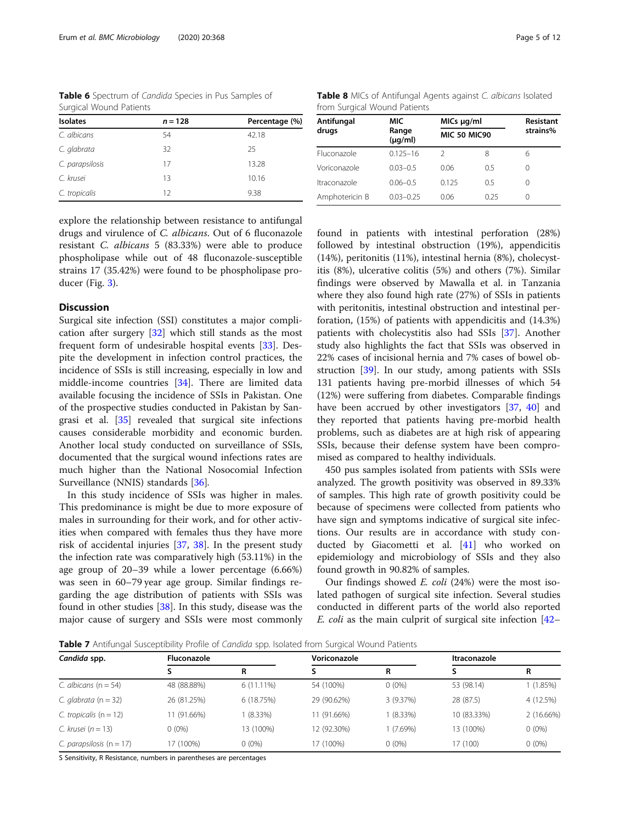<span id="page-4-0"></span>Table 6 Spectrum of Candida Species in Pus Samples of Surgical Wound Patients

| <b>Isolates</b> | $n = 128$ | Percentage (%) |
|-----------------|-----------|----------------|
| C. albicans     | 54        | 42.18          |
| C. glabrata     | 32        | 25             |
| C. parapsilosis | 17        | 13.28          |
| C. krusei       | 13        | 10.16          |
| C. tropicalis   | 12        | 9.38           |

Table 8 MICs of Antifungal Agents against C. albicans Isolated from Surgical Wound Patients

| Antifungal     | MIC<br>MIS <sub>µq</sub> /ml |                     |     | Resistant |  |
|----------------|------------------------------|---------------------|-----|-----------|--|
| drugs          | Range<br>$(\mu q/ml)$        | <b>MIC 50 MIC90</b> |     | strains%  |  |
| Fluconazole    | $0125 - 16$                  | 2                   | 8   | 6         |  |
| Voriconazole   | $0.03 - 0.5$                 | 0.06                | 05  | 0         |  |
| Itraconazole   | $0.06 - 0.5$                 | 0.125               | 05  | 0         |  |
| Amphotericin B | $0.03 - 0.25$                | 0.06                | 025 | 0         |  |

explore the relationship between resistance to antifungal drugs and virulence of C. albicans. Out of 6 fluconazole resistant C. albicans 5 (83.33%) were able to produce phospholipase while out of 48 fluconazole-susceptible strains 17 (35.42%) were found to be phospholipase producer (Fig. [3](#page-6-0)).

## **Discussion**

Surgical site infection (SSI) constitutes a major complication after surgery [\[32\]](#page-10-0) which still stands as the most frequent form of undesirable hospital events [\[33](#page-10-0)]. Despite the development in infection control practices, the incidence of SSIs is still increasing, especially in low and middle-income countries [[34](#page-10-0)]. There are limited data available focusing the incidence of SSIs in Pakistan. One of the prospective studies conducted in Pakistan by Sangrasi et al. [\[35](#page-10-0)] revealed that surgical site infections causes considerable morbidity and economic burden. Another local study conducted on surveillance of SSIs, documented that the surgical wound infections rates are much higher than the National Nosocomial Infection Surveillance (NNIS) standards [\[36](#page-10-0)].

In this study incidence of SSIs was higher in males. This predominance is might be due to more exposure of males in surrounding for their work, and for other activities when compared with females thus they have more risk of accidental injuries [[37,](#page-10-0) [38\]](#page-10-0). In the present study the infection rate was comparatively high (53.11%) in the age group of 20–39 while a lower percentage (6.66%) was seen in 60–79 year age group. Similar findings regarding the age distribution of patients with SSIs was found in other studies [[38](#page-10-0)]. In this study, disease was the major cause of surgery and SSIs were most commonly found in patients with intestinal perforation (28%) followed by intestinal obstruction (19%), appendicitis (14%), peritonitis (11%), intestinal hernia (8%), cholecystitis (8%), ulcerative colitis (5%) and others (7%). Similar findings were observed by Mawalla et al. in Tanzania where they also found high rate (27%) of SSIs in patients with peritonitis, intestinal obstruction and intestinal perforation, (15%) of patients with appendicitis and (14.3%) patients with cholecystitis also had SSIs [\[37](#page-10-0)]. Another study also highlights the fact that SSIs was observed in 22% cases of incisional hernia and 7% cases of bowel obstruction [\[39\]](#page-10-0). In our study, among patients with SSIs 131 patients having pre-morbid illnesses of which 54 (12%) were suffering from diabetes. Comparable findings have been accrued by other investigators [[37,](#page-10-0) [40\]](#page-10-0) and they reported that patients having pre-morbid health problems, such as diabetes are at high risk of appearing SSIs, because their defense system have been compromised as compared to healthy individuals.

450 pus samples isolated from patients with SSIs were analyzed. The growth positivity was observed in 89.33% of samples. This high rate of growth positivity could be because of specimens were collected from patients who have sign and symptoms indicative of surgical site infections. Our results are in accordance with study conducted by Giacometti et al. [[41\]](#page-10-0) who worked on epidemiology and microbiology of SSIs and they also found growth in 90.82% of samples.

Our findings showed E. coli (24%) were the most isolated pathogen of surgical site infection. Several studies conducted in different parts of the world also reported E. coli as the main culprit of surgical site infection [[42](#page-10-0)–

Table 7 Antifungal Susceptibility Profile of Candida spp. Isolated from Surgical Wound Patients

| Candida spp.<br>Fluconazole |             | Voriconazole |             | <b>Itraconazole</b> |             |            |
|-----------------------------|-------------|--------------|-------------|---------------------|-------------|------------|
|                             |             | R            |             | R                   |             | R          |
| C. albicans $(n = 54)$      | 48 (88.88%) | $6(11.11\%)$ | 54 (100%)   | $0(0\%)$            | 53 (98.14)  | 1 (1.85%)  |
| C. glabrata ( $n = 32$ )    | 26 (81.25%) | 6 (18.75%)   | 29 (90.62%) | 3 (9.37%)           | 28 (87.5)   | 4 (12.5%)  |
| C. tropicalis $(n = 12)$    | 11 (91.66%) | $(8.33\%)$   | 11 (91.66%) | (8.33%)             | 10 (83.33%) | 2 (16.66%) |
| C. krusei $(n = 13)$        | $0(0\%)$    | 13 (100%)    | 12 (92.30%) | 1 (7.69%)           | 13 (100%)   | $0(0\%)$   |
| C. parapsilosis $(n = 17)$  | 17 (100%)   | $0(0\%)$     | 17 (100%)   | $0(0\%)$            | 17 (100)    | $0(0\%)$   |

S Sensitivity, R Resistance, numbers in parentheses are percentages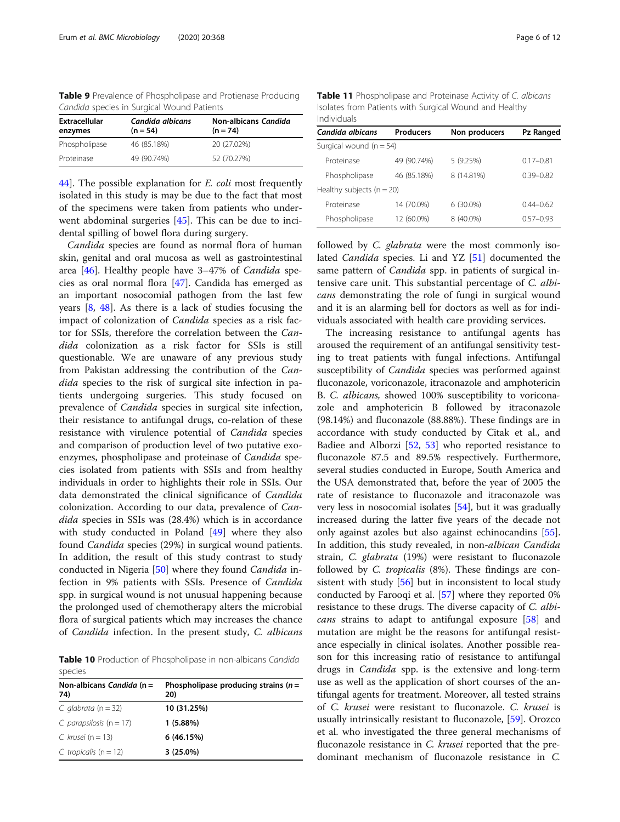| Carraiga species in sargical rroand rationics |                                |                                    |  |  |
|-----------------------------------------------|--------------------------------|------------------------------------|--|--|
| Extracellular<br>enzymes                      | Candida albicans<br>$(n = 54)$ | Non-albicans Candida<br>$(n = 74)$ |  |  |
| Phospholipase                                 | 46 (85.18%)                    | 20 (27.02%)                        |  |  |
| Proteinase                                    | 49 (90.74%)                    | 52 (70.27%)                        |  |  |

<span id="page-5-0"></span>Table 9 Prevalence of Phospholipase and Protienase Producing Candida species in Surgical Wound Patients

[44\]](#page-10-0). The possible explanation for *E. coli* most frequently isolated in this study is may be due to the fact that most of the specimens were taken from patients who underwent abdominal surgeries [[45\]](#page-10-0). This can be due to incidental spilling of bowel flora during surgery.

Candida species are found as normal flora of human skin, genital and oral mucosa as well as gastrointestinal area [[46\]](#page-10-0). Healthy people have 3–47% of Candida species as oral normal flora [\[47\]](#page-10-0). Candida has emerged as an important nosocomial pathogen from the last few years [[8,](#page-9-0) [48\]](#page-10-0). As there is a lack of studies focusing the impact of colonization of Candida species as a risk factor for SSIs, therefore the correlation between the Candida colonization as a risk factor for SSIs is still questionable. We are unaware of any previous study from Pakistan addressing the contribution of the Candida species to the risk of surgical site infection in patients undergoing surgeries. This study focused on prevalence of Candida species in surgical site infection, their resistance to antifungal drugs, co-relation of these resistance with virulence potential of Candida species and comparison of production level of two putative exoenzymes, phospholipase and proteinase of Candida species isolated from patients with SSIs and from healthy individuals in order to highlights their role in SSIs. Our data demonstrated the clinical significance of Candida colonization. According to our data, prevalence of Candida species in SSIs was (28.4%) which is in accordance with study conducted in Poland [\[49](#page-10-0)] where they also found Candida species (29%) in surgical wound patients. In addition, the result of this study contrast to study conducted in Nigeria [\[50](#page-10-0)] where they found Candida infection in 9% patients with SSIs. Presence of Candida spp. in surgical wound is not unusual happening because the prolonged used of chemotherapy alters the microbial flora of surgical patients which may increases the chance of Candida infection. In the present study, C. albicans

Table 10 Production of Phospholipase in non-albicans Candida species

| Non-albicans Candida ( $n =$<br>74) | Phospholipase producing strains ( $n =$<br>20) |
|-------------------------------------|------------------------------------------------|
| C. glabrata ( $n = 32$ )            | 10 (31.25%)                                    |
| C. parapsilosis $(n = 17)$          | $1(5.88\%)$                                    |
| C. krusei ( $n = 13$ )              | 6(46.15%)                                      |
| C. tropicalis $(n = 12)$            | $3(25.0\%)$                                    |

Table 11 Phospholipase and Proteinase Activity of C. albicans Isolates from Patients with Surgical Wound and Healthy

| Candida albicans            | <b>Producers</b> | Non producers | Pz Ranged     |  |  |  |  |
|-----------------------------|------------------|---------------|---------------|--|--|--|--|
| Surgical wound $(n = 54)$   |                  |               |               |  |  |  |  |
| Proteinase                  | 49 (90.74%)      | 5(9.25%)      | $0.17 - 0.81$ |  |  |  |  |
| Phospholipase               | 46 (85.18%)      | 8 (14.81%)    | $0.39 - 0.82$ |  |  |  |  |
| Healthy subjects $(n = 20)$ |                  |               |               |  |  |  |  |
| Proteinase                  | 14 (70.0%)       | $6(30.0\%)$   | $044 - 062$   |  |  |  |  |
| Phospholipase               | 12 (60.0%)       | 8 (40.0%)     | $0.57 - 0.93$ |  |  |  |  |

followed by C. glabrata were the most commonly isolated Candida species. Li and YZ [[51\]](#page-10-0) documented the same pattern of *Candida* spp. in patients of surgical intensive care unit. This substantial percentage of C. albicans demonstrating the role of fungi in surgical wound and it is an alarming bell for doctors as well as for individuals associated with health care providing services.

The increasing resistance to antifungal agents has aroused the requirement of an antifungal sensitivity testing to treat patients with fungal infections. Antifungal susceptibility of *Candida* species was performed against fluconazole, voriconazole, itraconazole and amphotericin B. C. albicans, showed 100% susceptibility to voriconazole and amphotericin B followed by itraconazole (98.14%) and fluconazole (88.88%). These findings are in accordance with study conducted by Citak et al., and Badiee and Alborzi [\[52](#page-10-0), [53](#page-10-0)] who reported resistance to fluconazole 87.5 and 89.5% respectively. Furthermore, several studies conducted in Europe, South America and the USA demonstrated that, before the year of 2005 the rate of resistance to fluconazole and itraconazole was very less in nosocomial isolates [\[54](#page-10-0)], but it was gradually increased during the latter five years of the decade not only against azoles but also against echinocandins [\[55](#page-10-0)]. In addition, this study revealed, in non-albican Candida strain, C. glabrata (19%) were resistant to fluconazole followed by C. tropicalis (8%). These findings are con-sistent with study [\[56](#page-10-0)] but in inconsistent to local study conducted by Farooqi et al. [\[57\]](#page-10-0) where they reported 0% resistance to these drugs. The diverse capacity of C. albi-cans strains to adapt to antifungal exposure [\[58](#page-11-0)] and mutation are might be the reasons for antifungal resistance especially in clinical isolates. Another possible reason for this increasing ratio of resistance to antifungal drugs in *Candida* spp. is the extensive and long-term use as well as the application of short courses of the antifungal agents for treatment. Moreover, all tested strains of C. krusei were resistant to fluconazole. C. krusei is usually intrinsically resistant to fluconazole, [\[59\]](#page-11-0). Orozco et al. who investigated the three general mechanisms of fluconazole resistance in *C. krusei* reported that the predominant mechanism of fluconazole resistance in C.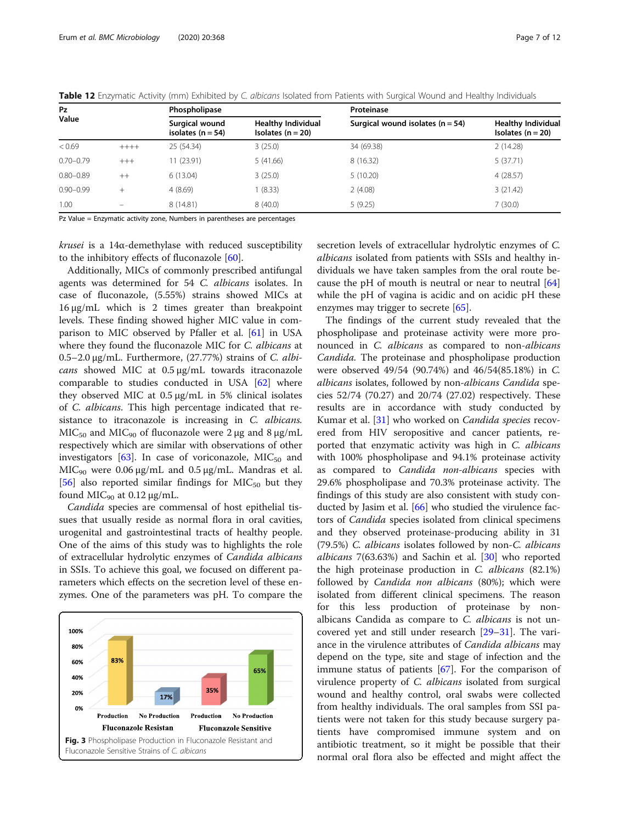| Pz<br>Value   |         | Phospholipase                         |                                                  | Proteinase                         |                                                  |
|---------------|---------|---------------------------------------|--------------------------------------------------|------------------------------------|--------------------------------------------------|
|               |         | Surgical wound<br>isolates $(n = 54)$ | <b>Healthy Individual</b><br>Isolates $(n = 20)$ | Surgical wound isolates $(n = 54)$ | <b>Healthy Individual</b><br>Isolates $(n = 20)$ |
| < 0.69        | $+++++$ | 25 (54.34)                            | 3(25.0)                                          | 34 (69.38)                         | 2(14.28)                                         |
| $0.70 - 0.79$ | $+++$   | 11 (23.91)                            | 5(41.66)                                         | 8(16.32)                           | 5(37.71)                                         |
| $0.80 - 0.89$ | $++$    | 6(13.04)                              | 3(25.0)                                          | 5(10.20)                           | 4(28.57)                                         |
| $0.90 - 0.99$ | $^{+}$  | 4(8.69)                               | (8.33)                                           | 2(4.08)                            | 3(21.42)                                         |
| 1.00          | -       | 8(14.81)                              | 8(40.0)                                          | 5(9.25)                            | 7(30.0)                                          |
|               |         |                                       |                                                  |                                    |                                                  |

<span id="page-6-0"></span>Table 12 Enzymatic Activity (mm) Exhibited by C. albicans Isolated from Patients with Surgical Wound and Healthy Individuals

Pz Value = Enzymatic activity zone, Numbers in parentheses are percentages

*krusei* is a 14α-demethylase with reduced susceptibility to the inhibitory effects of fluconazole [[60\]](#page-11-0).

Additionally, MICs of commonly prescribed antifungal agents was determined for 54 C. albicans isolates. In case of fluconazole, (5.55%) strains showed MICs at 16 μg/mL which is 2 times greater than breakpoint levels. These finding showed higher MIC value in comparison to MIC observed by Pfaller et al. [[61](#page-11-0)] in USA where they found the fluconazole MIC for C. albicans at 0.5–2.0 μg/mL. Furthermore, (27.77%) strains of C. albicans showed MIC at 0.5 μg/mL towards itraconazole comparable to studies conducted in USA  $[62]$  $[62]$  where they observed MIC at 0.5 μg/mL in 5% clinical isolates of C. albicans. This high percentage indicated that resistance to itraconazole is increasing in C. albicans.  $MIC<sub>50</sub>$  and  $MIC<sub>90</sub>$  of fluconazole were 2 μg and 8 μg/mL respectively which are similar with observations of other investigators [\[63\]](#page-11-0). In case of voriconazole,  $MIC_{50}$  and MIC<sub>90</sub> were 0.06 μg/mL and 0.5 μg/mL. Mandras et al. [[56\]](#page-10-0) also reported similar findings for  $MIC_{50}$  but they found  $MIC<sub>90</sub>$  at 0.12 μg/mL.

Candida species are commensal of host epithelial tissues that usually reside as normal flora in oral cavities, urogenital and gastrointestinal tracts of healthy people. One of the aims of this study was to highlights the role of extracellular hydrolytic enzymes of Candida albicans in SSIs. To achieve this goal, we focused on different parameters which effects on the secretion level of these enzymes. One of the parameters was pH. To compare the



secretion levels of extracellular hydrolytic enzymes of C. albicans isolated from patients with SSIs and healthy individuals we have taken samples from the oral route be-cause the pH of mouth is neutral or near to neutral [[64](#page-11-0)] while the pH of vagina is acidic and on acidic pH these enzymes may trigger to secrete [[65\]](#page-11-0).

The findings of the current study revealed that the phospholipase and proteinase activity were more pronounced in C. albicans as compared to non-albicans Candida. The proteinase and phospholipase production were observed 49/54 (90.74%) and 46/54(85.18%) in C. albicans isolates, followed by non-albicans Candida species 52/74 (70.27) and 20/74 (27.02) respectively. These results are in accordance with study conducted by Kumar et al. [[31](#page-10-0)] who worked on Candida species recovered from HIV seropositive and cancer patients, reported that enzymatic activity was high in C. albicans with 100% phospholipase and 94.1% proteinase activity as compared to Candida non-albicans species with 29.6% phospholipase and 70.3% proteinase activity. The findings of this study are also consistent with study conducted by Jasim et al. [[66](#page-11-0)] who studied the virulence factors of Candida species isolated from clinical specimens and they observed proteinase-producing ability in 31 (79.5%) C. albicans isolates followed by non-C. albicans albicans 7(63.63%) and Sachin et al. [\[30\]](#page-10-0) who reported the high proteinase production in C. albicans (82.1%) followed by Candida non albicans (80%); which were isolated from different clinical specimens. The reason for this less production of proteinase by nonalbicans Candida as compare to C. albicans is not uncovered yet and still under research [\[29](#page-10-0)–[31\]](#page-10-0). The variance in the virulence attributes of Candida albicans may depend on the type, site and stage of infection and the immune status of patients  $[67]$  $[67]$ . For the comparison of virulence property of C. albicans isolated from surgical wound and healthy control, oral swabs were collected from healthy individuals. The oral samples from SSI patients were not taken for this study because surgery patients have compromised immune system and on antibiotic treatment, so it might be possible that their normal oral flora also be effected and might affect the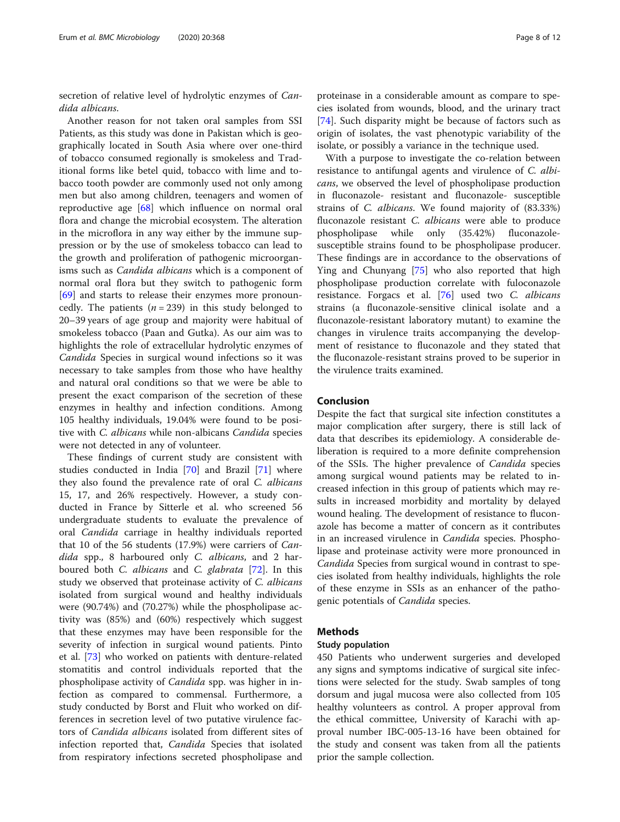secretion of relative level of hydrolytic enzymes of Candida albicans.

Another reason for not taken oral samples from SSI Patients, as this study was done in Pakistan which is geographically located in South Asia where over one-third of tobacco consumed regionally is smokeless and Traditional forms like betel quid, tobacco with lime and tobacco tooth powder are commonly used not only among men but also among children, teenagers and women of reproductive age [\[68\]](#page-11-0) which influence on normal oral flora and change the microbial ecosystem. The alteration in the microflora in any way either by the immune suppression or by the use of smokeless tobacco can lead to the growth and proliferation of pathogenic microorganisms such as Candida albicans which is a component of normal oral flora but they switch to pathogenic form [[69\]](#page-11-0) and starts to release their enzymes more pronouncedly. The patients  $(n = 239)$  in this study belonged to 20–39 years of age group and majority were habitual of smokeless tobacco (Paan and Gutka). As our aim was to highlights the role of extracellular hydrolytic enzymes of Candida Species in surgical wound infections so it was necessary to take samples from those who have healthy and natural oral conditions so that we were be able to present the exact comparison of the secretion of these enzymes in healthy and infection conditions. Among 105 healthy individuals, 19.04% were found to be positive with C. albicans while non-albicans Candida species were not detected in any of volunteer.

These findings of current study are consistent with studies conducted in India [[70\]](#page-11-0) and Brazil [\[71\]](#page-11-0) where they also found the prevalence rate of oral C. albicans 15, 17, and 26% respectively. However, a study conducted in France by Sitterle et al. who screened 56 undergraduate students to evaluate the prevalence of oral Candida carriage in healthy individuals reported that 10 of the 56 students (17.9%) were carriers of Candida spp., 8 harboured only C. albicans, and 2 harboured both C. albicans and C. glabrata [\[72\]](#page-11-0). In this study we observed that proteinase activity of C. albicans isolated from surgical wound and healthy individuals were (90.74%) and (70.27%) while the phospholipase activity was (85%) and (60%) respectively which suggest that these enzymes may have been responsible for the severity of infection in surgical wound patients. Pinto et al. [\[73\]](#page-11-0) who worked on patients with denture-related stomatitis and control individuals reported that the phospholipase activity of Candida spp. was higher in infection as compared to commensal. Furthermore, a study conducted by Borst and Fluit who worked on differences in secretion level of two putative virulence factors of Candida albicans isolated from different sites of infection reported that, *Candida* Species that isolated from respiratory infections secreted phospholipase and proteinase in a considerable amount as compare to species isolated from wounds, blood, and the urinary tract [[74\]](#page-11-0). Such disparity might be because of factors such as origin of isolates, the vast phenotypic variability of the isolate, or possibly a variance in the technique used.

With a purpose to investigate the co-relation between resistance to antifungal agents and virulence of C. albicans, we observed the level of phospholipase production in fluconazole- resistant and fluconazole- susceptible strains of C. albicans. We found majority of (83.33%) fluconazole resistant C. albicans were able to produce phospholipase while only (35.42%) fluconazolesusceptible strains found to be phospholipase producer. These findings are in accordance to the observations of Ying and Chunyang [\[75](#page-11-0)] who also reported that high phospholipase production correlate with fuloconazole resistance. Forgacs et al. [[76](#page-11-0)] used two C. albicans strains (a fluconazole-sensitive clinical isolate and a fluconazole-resistant laboratory mutant) to examine the changes in virulence traits accompanying the development of resistance to fluconazole and they stated that the fluconazole-resistant strains proved to be superior in the virulence traits examined.

## Conclusion

Despite the fact that surgical site infection constitutes a major complication after surgery, there is still lack of data that describes its epidemiology. A considerable deliberation is required to a more definite comprehension of the SSIs. The higher prevalence of Candida species among surgical wound patients may be related to increased infection in this group of patients which may results in increased morbidity and mortality by delayed wound healing. The development of resistance to fluconazole has become a matter of concern as it contributes in an increased virulence in Candida species. Phospholipase and proteinase activity were more pronounced in Candida Species from surgical wound in contrast to species isolated from healthy individuals, highlights the role of these enzyme in SSIs as an enhancer of the pathogenic potentials of Candida species.

#### Methods

#### Study population

450 Patients who underwent surgeries and developed any signs and symptoms indicative of surgical site infections were selected for the study. Swab samples of tong dorsum and jugal mucosa were also collected from 105 healthy volunteers as control. A proper approval from the ethical committee, University of Karachi with approval number IBC-005-13-16 have been obtained for the study and consent was taken from all the patients prior the sample collection.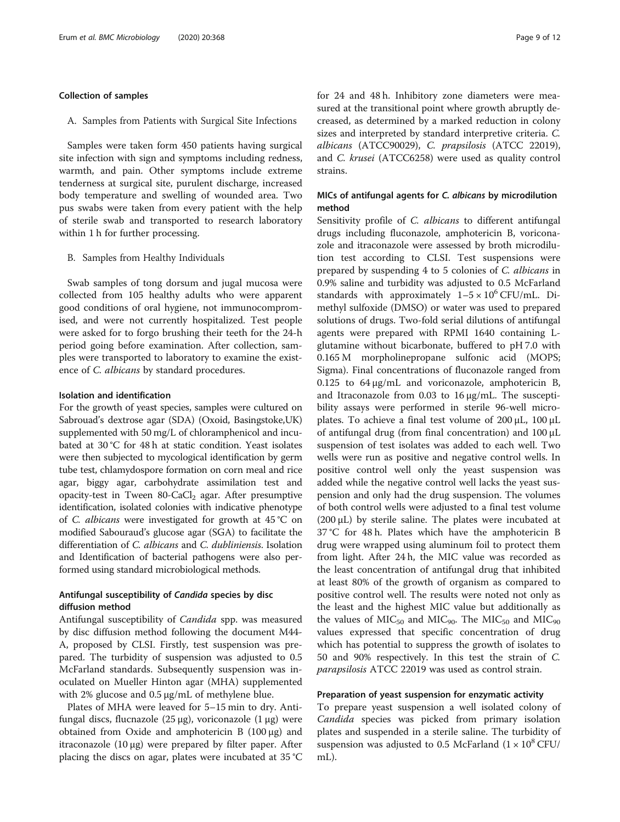## Collection of samples

A. Samples from Patients with Surgical Site Infections

Samples were taken form 450 patients having surgical site infection with sign and symptoms including redness, warmth, and pain. Other symptoms include extreme tenderness at surgical site, purulent discharge, increased body temperature and swelling of wounded area. Two pus swabs were taken from every patient with the help of sterile swab and transported to research laboratory within 1 h for further processing.

#### B. Samples from Healthy Individuals

Swab samples of tong dorsum and jugal mucosa were collected from 105 healthy adults who were apparent good conditions of oral hygiene, not immunocompromised, and were not currently hospitalized. Test people were asked for to forgo brushing their teeth for the 24-h period going before examination. After collection, samples were transported to laboratory to examine the existence of C. albicans by standard procedures.

#### Isolation and identification

For the growth of yeast species, samples were cultured on Sabrouad's dextrose agar (SDA) (Oxoid, Basingstoke,UK) supplemented with 50 mg/L of chloramphenicol and incubated at 30 °C for 48 h at static condition. Yeast isolates were then subjected to mycological identification by germ tube test, chlamydospore formation on corn meal and rice agar, biggy agar, carbohydrate assimilation test and opacity-test in Tween  $80$ -CaCl<sub>2</sub> agar. After presumptive identification, isolated colonies with indicative phenotype of *C. albicans* were investigated for growth at  $45^{\circ}$ C on modified Sabouraud's glucose agar (SGA) to facilitate the differentiation of C. albicans and C. dubliniensis. Isolation and Identification of bacterial pathogens were also performed using standard microbiological methods.

## Antifungal susceptibility of Candida species by disc diffusion method

Antifungal susceptibility of Candida spp. was measured by disc diffusion method following the document M44- A, proposed by CLSI. Firstly, test suspension was prepared. The turbidity of suspension was adjusted to 0.5 McFarland standards. Subsequently suspension was inoculated on Mueller Hinton agar (MHA) supplemented with 2% glucose and 0.5 μg/mL of methylene blue.

Plates of MHA were leaved for 5–15 min to dry. Antifungal discs, flucnazole (25 μg), voriconazole (1 μg) were obtained from Oxide and amphotericin B (100 μg) and itraconazole (10 μg) were prepared by filter paper. After placing the discs on agar, plates were incubated at 35 °C for 24 and 48 h. Inhibitory zone diameters were measured at the transitional point where growth abruptly decreased, as determined by a marked reduction in colony sizes and interpreted by standard interpretive criteria. C. albicans (ATCC90029), C. prapsilosis (ATCC 22019), and C. krusei (ATCC6258) were used as quality control strains.

## MICs of antifungal agents for C. albicans by microdilution method

Sensitivity profile of *C. albicans* to different antifungal drugs including fluconazole, amphotericin B, voriconazole and itraconazole were assessed by broth microdilution test according to CLSI. Test suspensions were prepared by suspending 4 to 5 colonies of C. albicans in 0.9% saline and turbidity was adjusted to 0.5 McFarland standards with approximately  $1-5 \times 10^6$  CFU/mL. Dimethyl sulfoxide (DMSO) or water was used to prepared solutions of drugs. Two-fold serial dilutions of antifungal agents were prepared with RPMI 1640 containing Lglutamine without bicarbonate, buffered to pH 7.0 with 0.165 M morpholinepropane sulfonic acid (MOPS; Sigma). Final concentrations of fluconazole ranged from  $0.125$  to  $64 \mu$ g/mL and voriconazole, amphotericin B, and Itraconazole from 0.03 to 16 μg/mL. The susceptibility assays were performed in sterile 96-well microplates. To achieve a final test volume of 200 μL, 100 μL of antifungal drug (from final concentration) and 100 μL suspension of test isolates was added to each well. Two wells were run as positive and negative control wells. In positive control well only the yeast suspension was added while the negative control well lacks the yeast suspension and only had the drug suspension. The volumes of both control wells were adjusted to a final test volume  $(200 \mu L)$  by sterile saline. The plates were incubated at 37 °C for 48 h. Plates which have the amphotericin B drug were wrapped using aluminum foil to protect them from light. After 24 h, the MIC value was recorded as the least concentration of antifungal drug that inhibited at least 80% of the growth of organism as compared to positive control well. The results were noted not only as the least and the highest MIC value but additionally as the values of  $\text{MIC}_{50}$  and  $\text{MIC}_{90}$ . The  $\text{MIC}_{50}$  and  $\text{MIC}_{90}$ values expressed that specific concentration of drug which has potential to suppress the growth of isolates to 50 and 90% respectively. In this test the strain of C. parapsilosis ATCC 22019 was used as control strain.

#### Preparation of yeast suspension for enzymatic activity

To prepare yeast suspension a well isolated colony of Candida species was picked from primary isolation plates and suspended in a sterile saline. The turbidity of suspension was adjusted to 0.5 McFarland  $(1 \times 10^8 \text{ CFU})$ mL).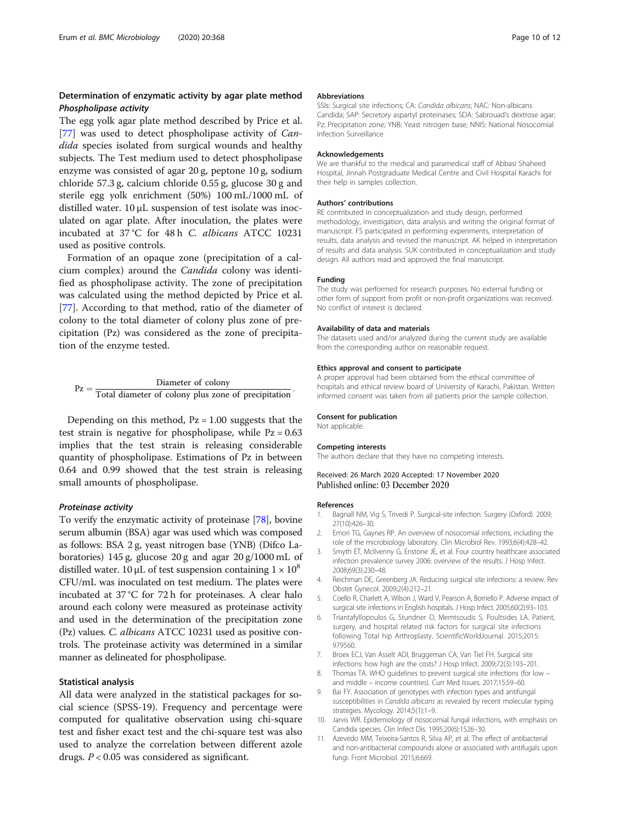## <span id="page-9-0"></span>Determination of enzymatic activity by agar plate method Phospholipase activity

The egg yolk agar plate method described by Price et al. [[77\]](#page-11-0) was used to detect phospholipase activity of Candida species isolated from surgical wounds and healthy subjects. The Test medium used to detect phospholipase enzyme was consisted of agar 20 g, peptone 10 g, sodium chloride 57.3 g, calcium chloride 0.55 g, glucose 30 g and sterile egg yolk enrichment (50%) 100 mL/1000 mL of distilled water. 10 μL suspension of test isolate was inoculated on agar plate. After inoculation, the plates were incubated at 37 °C for 48 h C. albicans ATCC 10231 used as positive controls.

Formation of an opaque zone (precipitation of a calcium complex) around the Candida colony was identified as phospholipase activity. The zone of precipitation was calculated using the method depicted by Price et al. [[77\]](#page-11-0). According to that method, ratio of the diameter of colony to the total diameter of colony plus zone of precipitation (Pz) was considered as the zone of precipitation of the enzyme tested.

 $Pz = \frac{Diameter\ of\ colony}{Total\ diameter\ of\ colony\ plus\ zone\ of\ precipitation}.$ 

Depending on this method,  $Pz = 1.00$  suggests that the test strain is negative for phospholipase, while  $Pz = 0.63$ implies that the test strain is releasing considerable quantity of phospholipase. Estimations of Pz in between 0.64 and 0.99 showed that the test strain is releasing small amounts of phospholipase.

#### Proteinase activity

To verify the enzymatic activity of proteinase [\[78\]](#page-11-0), bovine serum albumin (BSA) agar was used which was composed as follows: BSA 2 g, yeast nitrogen base (YNB) (Difco Laboratories) 145 g, glucose 20 g and agar 20 g/1000 mL of distilled water. 10 μL of test suspension containing  $1 \times 10^8$ CFU/mL was inoculated on test medium. The plates were incubated at 37 °C for 72 h for proteinases. A clear halo around each colony were measured as proteinase activity and used in the determination of the precipitation zone (Pz) values. C. albicans ATCC 10231 used as positive controls. The proteinase activity was determined in a similar manner as delineated for phospholipase.

#### Statistical analysis

All data were analyzed in the statistical packages for social science (SPSS-19). Frequency and percentage were computed for qualitative observation using chi-square test and fisher exact test and the chi-square test was also used to analyze the correlation between different azole drugs. P < 0.05 was considered as significant.

#### Abbreviations

SSIs: Surgical site infections; CA: Candida albicans; NAC: Non-albicans Candida; SAP: Secretory aspartyl proteinases; SDA: Sabrouad's dextrose agar; Pz: Precipitation zone; YNB: Yeast nitrogen base; NNIS: National Nosocomial Infection Surveillance

#### Acknowledgements

We are thankful to the medical and paramedical staff of Abbasi Shaheed Hospital, Jinnah Postgraduate Medical Centre and Civil Hospital Karachi for their help in samples collection.

#### Authors' contributions

RE contributed in conceptualization and study design, performed methodology, investigation, data analysis and writing the original format of manuscript. FS participated in performing experiments, interpretation of results, data analysis and revised the manuscript. AK helped in interpretation of results and data analysis. SUK contributed in conceptualization and study design. All authors read and approved the final manuscript.

#### Funding

The study was performed for research purposes. No external funding or other form of support from profit or non-profit organizations was received. No conflict of interest is declared.

#### Availability of data and materials

The datasets used and/or analyzed during the current study are available from the corresponding author on reasonable request.

#### Ethics approval and consent to participate

A proper approval had been obtained from the ethical committee of hospitals and ethical review board of University of Karachi, Pakistan. Written informed consent was taken from all patients prior the sample collection.

#### Consent for publication

Not applicable.

#### Competing interests

The authors declare that they have no competing interests.

#### Received: 26 March 2020 Accepted: 17 November 2020 Published online: 03 December 2020

#### References

- Bagnall NM, Vig S, Trivedi P. Surgical-site infection. Surgery (Oxford). 2009; 27(10):426–30.
- 2. Emori TG, Gaynes RP. An overview of nosocomial infections, including the role of the microbiology laboratory. Clin Microbiol Rev. 1993;6(4):428–42.
- 3. Smyth ET, McIlvenny G, Enstone JE, et al. Four country healthcare associated infection prevalence survey 2006: overview of the results. J Hosp Infect. 2008;69(3):230–48.
- 4. Reichman DE, Greenberg JA. Reducing surgical site infections: a review. Rev Obstet Gynecol. 2009;2(4):212–21.
- 5. Coello R, Charlett A, Wilson J, Ward V, Pearson A, Borriello P. Adverse impact of surgical site infections in English hospitals. J Hosp Infect. 2005;60(2):93–103.
- 6. Triantafyllopoulos G, Stundner O, Memtsoudis S, Poultsides LA. Patient, surgery, and hospital related risk factors for surgical site infections following Total hip Arthroplasty. ScientificWorldJournal. 2015;2015: 979560.
- 7. Broex ECJ, Van Asselt ADI, Bruggeman CA, Van Tiel FH. Surgical site infections: how high are the costs? J Hosp Infect. 2009;72(3):193–201.
- 8. Thomas TA. WHO guidelines to prevent surgical site infections (for low and middle – income countries). Curr Med Issues. 2017;15:59–60.
- 9. Bai FY. Association of genotypes with infection types and antifungal susceptibilities in Candida albicans as revealed by recent molecular typing strategies. Mycology. 2014;5(1):1–9.
- 10. Jarvis WR. Epidemiology of nosocomial fungal infections, with emphasis on Candida species. Clin Infect Dis. 1995;20(6):1526–30.
- 11. Azevedo MM, Teixeira-Santos R, Silva AP, et al. The effect of antibacterial and non-antibacterial compounds alone or associated with antifugals upon fungi. Front Microbiol. 2015;6:669.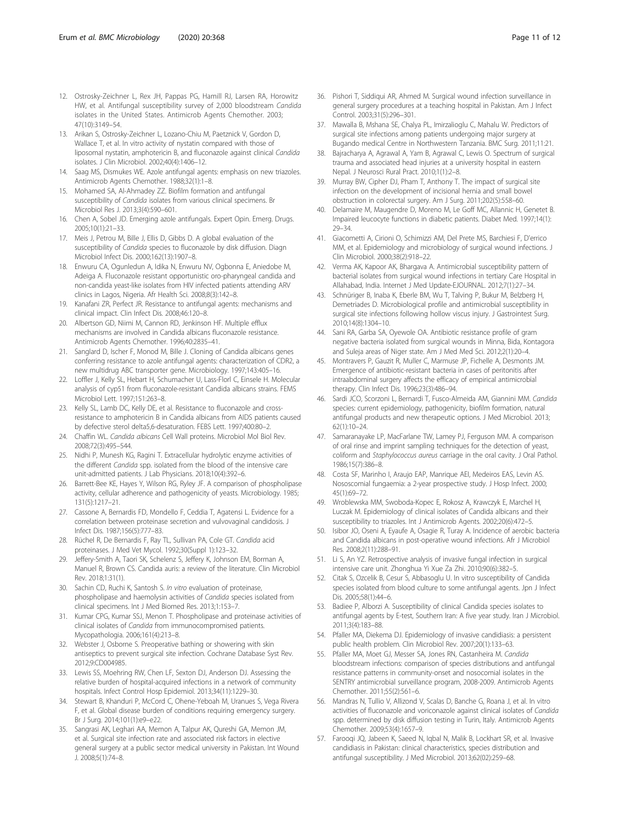- <span id="page-10-0"></span>12. Ostrosky-Zeichner L, Rex JH, Pappas PG, Hamill RJ, Larsen RA, Horowitz HW, et al. Antifungal susceptibility survey of 2,000 bloodstream Candida isolates in the United States. Antimicrob Agents Chemother. 2003; 47(10):3149–54.
- 13. Arikan S, Ostrosky-Zeichner L, Lozano-Chiu M, Paetznick V, Gordon D, Wallace T, et al. In vitro activity of nystatin compared with those of liposomal nystatin, amphotericin B, and fluconazole against clinical Candida isolates. J Clin Microbiol. 2002;40(4):1406–12.
- 14. Saag MS, Dismukes WE. Azole antifungal agents: emphasis on new triazoles. Antimicrob Agents Chemother. 1988;32(1):1–8.
- 15. Mohamed SA, Al-Ahmadey ZZ. Biofilm formation and antifungal susceptibility of Candida isolates from various clinical specimens. Br Microbiol Res J. 2013;3(4):590–601.
- 16. Chen A, Sobel JD. Emerging azole antifungals. Expert Opin. Emerg. Drugs. 2005;10(1):21–33.
- 17. Meis J, Petrou M, Bille J, Ellis D, Gibbs D. A global evaluation of the susceptibility of Candida species to fluconazole by disk diffusion. Diagn Microbiol Infect Dis. 2000;162(13):1907–8.
- 18. Enwuru CA, Ogunledun A, Idika N, Enwuru NV, Ogbonna E, Aniedobe M, Adeiga A. Fluconazole resistant opportunistic oro-pharyngeal candida and non-candida yeast-like isolates from HIV infected patients attending ARV clinics in Lagos, Nigeria. Afr Health Sci. 2008;8(3):142–8.
- 19. Kanafani ZR, Perfect JR. Resistance to antifungal agents: mechanisms and clinical impact. Clin Infect Dis. 2008;46:120–8.
- 20. Albertson GD, Niimi M, Cannon RD, Jenkinson HF. Multiple efflux mechanisms are involved in Candida albicans fluconazole resistance. Antimicrob Agents Chemother. 1996;40:2835–41.
- 21. Sanglard D, Ischer F, Monod M, Bille J. Cloning of Candida albicans genes conferring resistance to azole antifungal agents: characterization of CDR2, a new multidrug ABC transporter gene. Microbiology. 1997;143:405–16.
- 22. Loffler J, Kelly SL, Hebart H, Schumacher U, Lass-Florl C, Einsele H. Molecular analysis of cyp51 from fluconazole-resistant Candida albicans strains. FEMS Microbiol Lett. 1997;151:263–8.
- 23. Kelly SL, Lamb DC, Kelly DE, et al. Resistance to fluconazole and crossresistance to amphotericin B in Candida albicans from AIDS patients caused by defective sterol delta5,6-desaturation. FEBS Lett. 1997;400:80–2.
- 24. Chaffin WL. Candida albicans Cell Wall proteins. Microbiol Mol Biol Rev. 2008;72(3):495–544.
- 25. Nidhi P, Munesh KG, Ragini T. Extracellular hydrolytic enzyme activities of the different Candida spp. isolated from the blood of the intensive care unit-admitted patients. J Lab Physicians. 2018;10(4):392–6.
- 26. Barrett-Bee KE, Hayes Y, Wilson RG, Ryley JF. A comparison of phospholipase activity, cellular adherence and pathogenicity of yeasts. Microbiology. 1985; 131(5):1217–21.
- 27. Cassone A, Bernardis FD, Mondello F, Ceddia T, Agatensi L. Evidence for a correlation between proteinase secretion and vulvovaginal candidosis. J Infect Dis. 1987;156(5):777–83.
- 28. Rüchel R, De Bernardis F, Ray TL, Sullivan PA, Cole GT. Candida acid proteinases. J Med Vet Mycol. 1992;30(Suppl 1):123–32.
- 29. Jeffery-Smith A, Taori SK, Schelenz S, Jeffery K, Johnson EM, Borman A, Manuel R, Brown CS. Candida auris: a review of the literature. Clin Microbiol Rev. 2018;1:31(1).
- 30. Sachin CD, Ruchi K, Santosh S. In vitro evaluation of proteinase, phospholipase and haemolysin activities of Candida species isolated from clinical specimens. Int J Med Biomed Res. 2013;1:153–7.
- 31. Kumar CPG, Kumar SSJ, Menon T. Phospholipase and proteinase activities of clinical isolates of Candida from immunocompromised patients. Mycopathologia. 2006;161(4):213–8.
- 32. Webster J, Osborne S. Preoperative bathing or showering with skin antiseptics to prevent surgical site infection. Cochrane Database Syst Rev. 2012;9:CD004985.
- 33. Lewis SS, Moehring RW, Chen LF, Sexton DJ, Anderson DJ. Assessing the relative burden of hospital-acquired infections in a network of community hospitals. Infect Control Hosp Epidemiol. 2013;34(11):1229–30.
- 34. Stewart B, Khanduri P, McCord C, Ohene-Yeboah M, Uranues S, Vega Rivera F, et al. Global disease burden of conditions requiring emergency surgery. Br J Surg. 2014;101(1):e9–e22.
- 35. Sangrasi AK, Leghari AA, Memon A, Talpur AK, Qureshi GA, Memon JM, et al. Surgical site infection rate and associated risk factors in elective general surgery at a public sector medical university in Pakistan. Int Wound J. 2008;5(1):74–8.
- 36. Pishori T, Siddiqui AR, Ahmed M. Surgical wound infection surveillance in general surgery procedures at a teaching hospital in Pakistan. Am J Infect Control. 2003;31(5):296–301.
- 37. Mawalla B, Mshana SE, Chalya PL, Imirzalioglu C, Mahalu W. Predictors of surgical site infections among patients undergoing major surgery at Bugando medical Centre in Northwestern Tanzania. BMC Surg. 2011;11:21.
- Bajracharya A, Agrawal A, Yam B, Agrawal C, Lewis O. Spectrum of surgical trauma and associated head injuries at a university hospital in eastern Nepal. J Neurosci Rural Pract. 2010;1(1):2–8.
- 39. Murray BW, Cipher DJ, Pham T, Anthony T. The impact of surgical site infection on the development of incisional hernia and small bowel obstruction in colorectal surgery. Am J Surg. 2011;202(5):558–60.
- 40. Delamaire M, Maugendre D, Moreno M, Le Goff MC, Allannic H, Genetet B. Impaired leucocyte functions in diabetic patients. Diabet Med. 1997;14(1): 29–34.
- 41. Giacometti A, Cirioni O, Schimizzi AM, Del Prete MS, Barchiesi F, D'errico MM, et al. Epidemiology and microbiology of surgical wound infections. J Clin Microbiol. 2000;38(2):918–22.
- 42. Verma AK, Kapoor AK, Bhargava A. Antimicrobial susceptibility pattern of bacterial isolates from surgical wound infections in tertiary Care Hospital in Allahabad, India. Internet J Med Update-EJOURNAL. 2012;7(1):27–34.
- 43. Schnüriger B, Inaba K, Eberle BM, Wu T, Talving P, Bukur M, Belzberg H, Demetriades D. Microbiological profile and antimicrobial susceptibility in surgical site infections following hollow viscus injury. J Gastrointest Surg. 2010;14(8):1304–10.
- 44. Sani RA, Garba SA, Oyewole OA. Antibiotic resistance profile of gram negative bacteria isolated from surgical wounds in Minna, Bida, Kontagora and Suleja areas of Niger state. Am J Med Med Sci. 2012;2(1):20–4.
- 45. Montravers P, Gauzit R, Muller C, Marmuse JP, Fichelle A, Desmonts JM. Emergence of antibiotic-resistant bacteria in cases of peritonitis after intraabdominal surgery affects the efficacy of empirical antimicrobial therapy. Clin Infect Dis. 1996;23(3):486–94.
- 46. Sardi JCO, Scorzoni L, Bernardi T, Fusco-Almeida AM, Giannini MM. Candida species: current epidemiology, pathogenicity, biofilm formation, natural antifungal products and new therapeutic options. J Med Microbiol. 2013; 62(1):10–24.
- 47. Samaranayake LP, MacFarlane TW, Lamey PJ, Ferguson MM. A comparison of oral rinse and imprint sampling techniques for the detection of yeast, coliform and Staphylococcus aureus carriage in the oral cavity. J Oral Pathol. 1986;15(7):386–8.
- 48. Costa SF, Marinho I, Araujo EAP, Manrique AEI, Medeiros EAS, Levin AS. Nososcomial fungaemia: a 2-year prospective study. J Hosp Infect. 2000; 45(1):69–72.
- 49. Wroblewska MM, Swoboda-Kopec E, Rokosz A, Krawczyk E, Marchel H, Luczak M. Epidemiology of clinical isolates of Candida albicans and their susceptibility to triazoles. Int J Antimicrob Agents. 2002;20(6):472–5.
- 50. Isibor JO, Oseni A, Eyaufe A, Osagie R, Turay A. Incidence of aerobic bacteria and Candida albicans in post-operative wound infections. Afr J Microbiol Res. 2008;2(11):288–91.
- 51. Li S, An YZ. Retrospective analysis of invasive fungal infection in surgical intensive care unit. Zhonghua Yi Xue Za Zhi. 2010;90(6):382–5.
- 52. Citak S, Ozcelik B, Cesur S, Abbasoglu U. In vitro susceptibility of Candida species isolated from blood culture to some antifungal agents. Jpn J Infect Dis. 2005;58(1):44–6.
- 53. Badiee P, Alborzi A. Susceptibility of clinical Candida species isolates to antifungal agents by E-test, Southern Iran: A five year study. Iran J Microbiol. 2011;3(4):183–88.
- 54. Pfaller MA, Diekema DJ. Epidemiology of invasive candidiasis: a persistent public health problem. Clin Microbiol Rev. 2007;20(1):133–63.
- 55. Pfaller MA, Moet GJ, Messer SA, Jones RN, Castanheira M. Candida bloodstream infections: comparison of species distributions and antifungal resistance patterns in community-onset and nosocomial isolates in the SENTRY antimicrobial surveillance program, 2008-2009. Antimicrob Agents Chemother. 2011;55(2):561–6.
- 56. Mandras N, Tullio V, Allizond V, Scalas D, Banche G, Roana J, et al. In vitro activities of fluconazole and voriconazole against clinical isolates of Candida spp. determined by disk diffusion testing in Turin, Italy. Antimicrob Agents Chemother. 2009;53(4):1657–9.
- 57. Farooqi JQ, Jabeen K, Saeed N, Iqbal N, Malik B, Lockhart SR, et al. Invasive candidiasis in Pakistan: clinical characteristics, species distribution and antifungal susceptibility. J Med Microbiol. 2013;62(02):259–68.